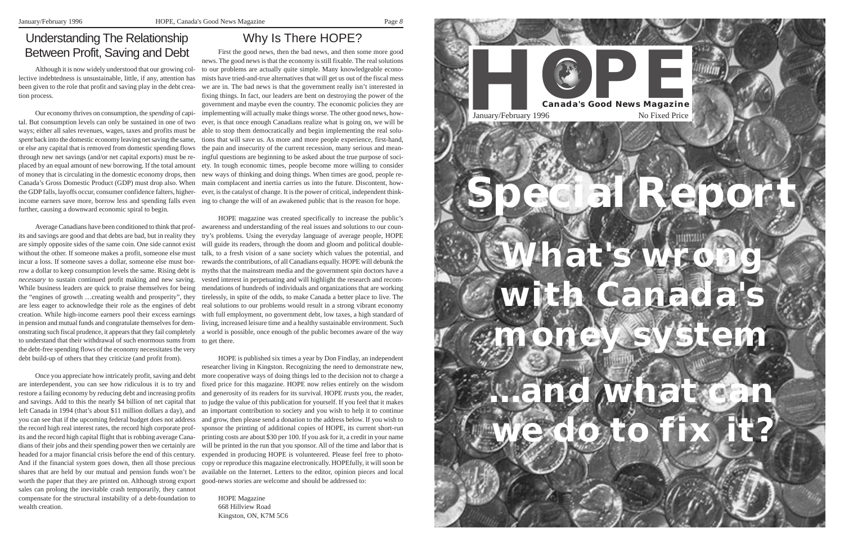

First the good news, then the bad news, and then some more good news. The good news is that the economy is still fixable. The real solutions to our problems are actually quite simple. Many knowledgeable economists have tried-and-true alternatives that will get us out of the fiscal mess we are in. The bad news is that the government really isn't interested in fixing things. In fact, our leaders are bent on destroying the power of the government and maybe even the country. The economic policies they are implementing will actually make things worse. The other good news, however, is that once enough Canadians realize what is going on, we will be able to stop them democratically and begin implementing the real solutions that will save us. As more and more people experience, first-hand, the pain and insecurity of the current recession, many serious and meanthrough new net savings (and/or net capital exports) must be re- ingful questions are beginning to be asked about the true purpose of society. In tough economic times, people become more willing to consider new ways of thinking and doing things. When times are good, people re-Canada's Gross Domestic Product (GDP) must drop also. When main complacent and inertia carries us into the future. Discontent, howthe GDP falls, layoffs occur, consumer confidence falters, higher- ever, is the catalyst of change. It is the power of critical, independent thinkincome earners save more, borrow less and spending falls even ing to change the will of an awakened public that is the reason for hope.

# Understanding The Relationship Between Profit, Saving and Debt

# Why Is There HOPE?

HOPE magazine was created specifically to increase the public's Average Canadians have been conditioned to think that prof- awareness and understanding of the real issues and solutions to our country's problems. Using the everyday language of average people, HOPE will guide its readers, through the doom and gloom and political doubletalk, to a fresh vision of a sane society which values the potential, and rewards the contributions, of all Canadians equally. HOPE will debunk the row a dollar to keep consumption levels the same. Rising debt is myths that the mainstream media and the government spin doctors have a vested interest in perpetuating and will highlight the research and recom-While business leaders are quick to praise themselves for being mendations of hundreds of individuals and organizations that are working the "engines of growth ...creating wealth and prosperity", they tirelessly, in spite of the odds, to make Canada a better place to live. The real solutions to our problems would result in a strong vibrant economy with full employment, no government debt, low taxes, a high standard of in pension and mutual funds and congratulate themselves for dem- living, increased leisure time and a healthy sustainable environment. Such onstrating such fiscal prudence, it appears that they fail completely a world is possible, once enough of the public becomes aware of the way

to understand that their withdrawal of such enormous sums from to get there. its and savings are good and that debts are bad, but in reality they are simply opposite sides of the same coin. One side cannot exist without the other. If someone makes a profit, someone else must incur a loss. If someone saves a dollar, someone else must bor*necessary* to sustain continued profit making and new saving. are less eager to acknowledge their role as the engines of debt creation. While high-income earners pool their excess earnings the debt-free spending flows of the economy necessitates the very debt build-up of others that they criticize (and profit from).

HOPE is published six times a year by Don Findlay, an independent researcher living in Kingston. Recognizing the need to demonstrate new, more cooperative ways of doing things led to the decision not to charge a fixed price for this magazine. HOPE now relies entirely on the wisdom and generosity of its readers for its survival. HOPE *trusts* you, the reader, and savings. Add to this the nearly \$4 billion of net capital that to judge the value of this publication for yourself. If you feel that it makes left Canada in 1994 (that's about \$11 million dollars a day), and an important contribution to society and you wish to help it to continue you can see that if the upcoming federal budget does not address and grow, then please send a donation to the address below. If you wish to the record high real interest rates, the record high corporate prof- sponsor the printing of additional copies of HOPE, its current short-run printing costs are about \$30 per 100. If you ask for it, a credit in your name dians of their jobs and their spending power then we certainly are will be printed in the run that you sponsor. All of the time and labor that is headed for a major financial crisis before the end of this century. expended in producing HOPE is volunteered. Please feel free to photo-And if the financial system goes down, then all those precious copy or reproduce this magazine electronically. HOPEfully, it will soon be shares that are held by our mutual and pension funds won't be available on the Internet. Letters to the editor, opinion pieces and local good-news stories are welcome and should be addressed to:

> HOPE Magazine 668 Hillview Road Kingston, ON, K7M 5C6

Although it is now widely understood that our growing collective indebtedness is unsustainable, little, if any, attention has been given to the role that profit and saving play in the debt creation process.

Our economy thrives on consumption, the *spending* of capital. But consumption levels can only be sustained in one of two ways; either all sales revenues, wages, taxes and profits must be *spen<sup>t</sup>* back into the domestic economy leaving net saving the same, or else any capital that is removed from domestic spending flows placed by an equal amount of new borrowing. If the total amount of money that is circulating in the domestic economy drops, then further, causing a downward economic spiral to begin.

Once you appreciate how intricately profit, saving and debt are interdependent, you can see how ridiculous it is to try and restore a failing economy by reducing debt and increasing profits its and the record high capital flight that is robbing average Canaworth the paper that they are printed on. Although strong export sales can prolong the inevitable crash temporarily, they cannot compensate for the structural instability of a debt-foundation to wealth creation.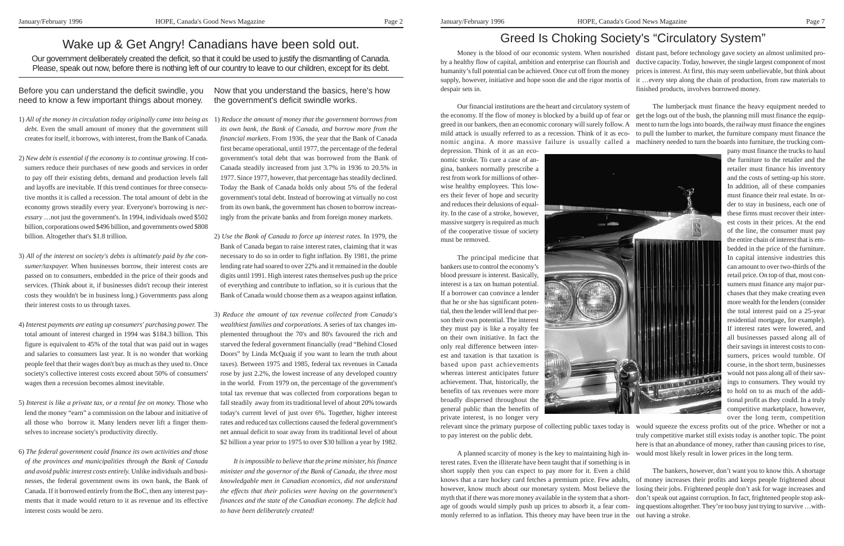Wake up & Get Angry! Canadians have been sold out.

Our government deliberately created the deficit, so that it could be used to justify the dismantling of Canada. Please, speak out now, before there is nothing left of our country to leave to our children, except for its debt.

Before you can understand the deficit swindle, you need to know a few important things about money.

- 1) *All of the money in circulation today originally came into being as* 1) *Reduce the amount of money that the government borrows from debt.* Even the small amount of money that the government still creates for itself, it borrows, with interest, from the Bank of Canada.
- 2) *New debt is essential if the economy is to continue growing.* If consumers reduce their purchases of new goods and services in order to pay off their existing debts, demand and production levels fall and layoffs are inevitable. If this trend continues for three consecutive months it is called a recession. The total amount of debt in the economy grows steadily every year. Everyone's borrowing is *necessary* …not just the government's. In 1994, individuals owed \$502 billion, corporations owed \$496 billion, and governments owed \$808 billion. Altogether that's \$1.8 trillion.
- 3) *All of the interest on society's debts is ultimately paid by the consumer/taxpayer.* When businesses borrow, their interest costs are passed on to consumers, embedded in the price of their goods and services. (Think about it, if businesses didn't recoup their interest costs they wouldn't be in business long.) Governments pass along their interest costs to us through taxes.
- 4) *Interest payments are eating up consumers' purchasing power.* The total amount of interest charged in 1994 was \$184.3 billion. This figure is equivalent to 45% of the total that was paid out in wages and salaries to consumers last year. It is no wonder that working people feel that their wages don't buy as much as they used to. Once society's collective interest costs exceed about 50% of consumers' wages then a recession becomes almost inevitable.
- 5) *Interest is like a private tax, or a rental fee on money.* Those who lend the money "earn" a commission on the labour and initiative of all those who borrow it. Many lenders never lift a finger themselves to increase society's productivity directly.
- 6) *The federal government could finance its own activities and those of the provinces and municipalities through the Bank of Canada and avoid public interest costs entirely.* Unlike individuals and businesses, the federal government owns its own bank, the Bank of Canada. If it borrowed entirely from the BoC, then any interest payments that it made would return to it as revenue and its effective interest costs would be zero.
- From its own bank, the government has enosen to borrow increase.<br>502 ingly from the private banks and from foreign money markets. *its own bank, the Bank of Canada, and borrow more from the financial markets.* From 1936, the year that the Bank of Canada first became operational, until 1977, the percentage of the federal government's total debt that was borrowed from the Bank of Canada steadily increased from just 3.7% in 1936 to 20.5% in 1977. Since 1977, however, that percentage has steadily declined. Today the Bank of Canada holds only about 5% of the federal governmen<sup>t</sup>'s total debt. Instead of borrowing at virtually no cost from its own bank, the government has chosen to borrow increas-
	- 2) *Use the Bank of Canada to force up interest rates*. In 1979, the Bank of Canada began to raise interest rates, claiming that it was necessary to do so in order to fight inflation. By 1981, the prime lending rate had soared to over 22% and it remained in the double digits until 1991. High interest rates themselves push up the price of everything and contribute to inflation, so it is curious that the Bank of Canada would choose them as a weapon against inflation.

Now that you understand the basics, here's how the government's deficit swindle works.

3) *Reduce the amount of tax revenue collected from Canada's wealthiest families and corporations.* A series of tax changes implemented throughout the 70's and 80's favoured the rich and starved the federal government financially (read "Behind Closed Doors" by Linda McQuaig if you want to learn the truth about taxes). Between 1975 and 1985, federal tax revenues in Canada rose by just 2.2%, the lowest increase of any developed country in the world. From 1979 on, the percentage of the government's total tax revenue that was collected from corporations began to fall steadily away from its traditional level of about 20% towards today's current level of just over 6%. Together, higher interest rates and reduced tax collections caused the federal government's net annual deficit to soar away from its traditional level of about \$2 billion a year prior to 1975 to over \$30 billion a year by 1982.

*It is impossible to believe that the prime minister, his finance minister and the governor of the Bank of Canada, the three most knowledgable men in Canadian economics, did not understand the effects that their policies were having on the government's finances and the state of the Canadian economy. The deficit had to have been deliberately created!*

# Greed Is Choking Society's "Circulatory System"

depression. Think of it as an economic stroke. To cure a case of angina, bankers normally prescribe a rest from work for millions of otherwise healthy employees. This lowers their fever of hope and security and reduces their delusions of equality. In the case of a stroke, however, massive surgery is required as much of the cooperative tissue of society must be removed.

Money is the blood of our economic system. When nourished distant past, before technology gave society an almost unlimited proby a healthy flow of capital, ambition and enterprise can flourish and ductive capacity. Today, however, the single largest component of most humanity's full potential can be achieved. Once cut off from the money supply, however, initiative and hope soon die and the rigor mortis of it …every step along the chain of production, from raw materials to despair sets in. prices is interest. At first, this may seem unbelievable, but think about finished products, involves borrowed money.

The principal medicine that bankers use to control the economy's blood pressure is interest. Basically, interest is a tax on human potential. If a borrower can convince a lender that he or she has significant potential, then the lender will lend that person their own potential. The interest they must pay is like a royalty fee on their own initiative. In fact the only real difference between interest and taxation is that taxation is based upon past achievements whereas interest anticipates future achievement. That, historically, the benefits of tax revenues were more broadly dispersed throughout the general public than the benefits of private interest, is no longer very



Our financial institutions are the heart and circulatory system of the economy. If the flow of money is blocked by a build up of fear or get the logs out of the bush, the planning mill must finance the equipgreed in our bankers, then an economic coronary will surely follow. A ment to turn the logs into boards, the railway must finance the engines mild attack is usually referred to as a recession. Think of it as eco-to pull the lumber to market, the furniture company must finance the nomic angina. A more massive failure is usually called a machinery needed to turn the boards into furniture, the trucking com-The lumberjack must finance the heavy equipment needed to

relevant since the primary purpose of collecting public taxes today is would squeeze the excess profits out of the price. Whether or not a to pay interest on the public debt. A planned scarcity of money is the key to maintaining high in-would most likely result in lower prices in the long term. truly competitive market still exists today is another topic. The point here is that an abundance of money, rather than causing prices to rise,

pany must finance the trucks to haul the furniture to the retailer and the retailer must finance his inventory

terest rates. Even the illiterate have been taught that if something is in short supply then you can expect to pay more for it. Even a child knows that a rare hockey card fetches a premium price. Few adults, however, know much about our monetary system. Most believe the myth that if there was more money available in the system that a shortage of goods would simply push up prices to absorb it, a fear commonly referred to as inflation. This theory may have been true in the out having a stroke.

and the costs of setting-up his store. In addition, all of these companies must finance their real estate. In order to stay in business, each one of these firms must recover their interest costs in their prices. At the end of the line, the consumer must pay the entire chain of interest that is embedded in the price of the furniture. In capital intensive industries this can amount to over two-thirds of the retail price. On top of that, most consumers must finance any major purchases that they make creating even more wealth for the lenders (consider the total interest paid on a 25-year residential mortgage, for example). If interest rates were lowered, and all businesses passed along all of their savings in interest costs to consumers, prices would tumble. Of course, in the short term, businesses would not pass along all of their savings to consumers. They would try to hold on to as much of the additional profit as they could. In a truly competitive marketplace, however,

over the long term, competition

The bankers, however, don't want you to know this. A shortage of money increases their profits and keeps people frightened about losing their jobs. Frightened people don't ask for wage increases and don't speak out against corruption. In fact, frightened people stop asking questions altogether. They're too busy just trying to survive …with-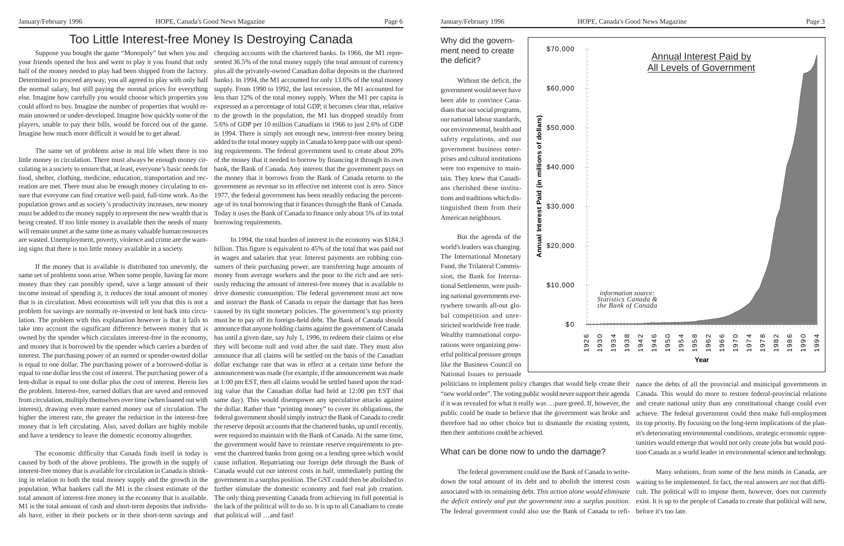#### Why did the government need to create the deficit?

Without the deficit, the government would never have been able to convince Canadians that our social programs, our national labour standards, our environmental, health and safety regulations, and our government business enterprises and cultural institutions were too expensive to maintain. They knew that Canadians cherished these institutions and traditions which distinguished them from their American neighbours.

politicians to implement policy changes that would help create their "new world order". The voting public would never support their agenda if it was revealed for what it really was …pure greed. If, however, the and create national unity than any constitutional change could ever public could be made to believe that the government was broke and therefore had no other choice but to dismantle the existing system, its top priority. By focusing on the long-term implications of the plan then their ambitions could be achieved. What can be done now to undo the damage? nance the debts of all the provincial and municipal governments in Canada. This would do more to restore federal-provincial relations achieve. The federal government could then make full-employment et's deteriorating environmental conditions, strategic economic oppor tunities would emerge that would not only create jobs but would posi tion Canada as a world leader in environmental science and technology. **Year**<br>**Process**<br>**Process**<br>**Process**<br>**Process**<br>**Process**<br>**Process**<br>**Example 1** and create national unity<br>achieve. The federal gove<br>its top priority. By focusing<br>this too length that tion Canada as a world lea<br>Many solution

But the agenda of the world's leaders was changing. The International Monetary Fund, the Trilateral Commission, the Bank for International Settlements, were pushing national governments everywhere towards all-out global competition and unrestricted worldwide free trade. Wealthy transnational corporations were organizing powerful political pressure groups like the Business Council on National Issues to persuade

The federal government could use the Bank of Canada to writedown the total amount of its debt and to abolish the interest costs associated with its remaining debt. *This action alone would eliminate the deficit entirely and put the government into a surplus position*. The federal government could also use the Bank of Canada to refi- before it's too late. Many solutions, from some of the best minds in Canada, are waiting to be implemented. In fact, the real answers are not that diffi cult. The political will to impose them, however, does not currently exist. It is up to the people of Canada to create that political will now,



your friends opened the box and went to play it you found that only sented 36.5% of the total money supply (the total amount of currency half of the money needed to play had been shipped from the factory. plus all the privately-owned Canadian dollar deposits in the chartered Determined to proceed anyway, you all agreed to play with only half banks). In 1994, the M1 accounted for only 13.6% of the total money the normal salary, but still paying the normal prices for everything supply. From 1990 to 1992, the last recession, the M1 accounted for else. Imagine how carefully you would choose which properties you less than 12% of the total money supply. When the M1 per capita is could afford to buy. Imagine the number of properties that would re-expressed as a percentage of total GDP, it becomes clear that, relative main unowned or under-developed. Imagine how quickly some of the players, unable to pay their bills, would be forced out of the game. 5.6% of GDP per 10 million Canadians in 1966 to just 2.6% of GDP Imagine how much more difficult it would be to get ahead.

little money in circulation. There must always be enough money circulating in a society to ensure that, at least, everyone's basic needs for food, shelter, clothing, medicine, education, transportation and recreation are met. There must also be enough money circulating to ensure that everyone can find creative well-paid, full-time work. As the population grows and as society's productivity increases, new money must be added to the money supply to represent the new wealth that is Today it uses the Bank of Canada to finance only about 5% of its total being created. If too little money is available then the needs of many will remain unmet at the same time as many valuable human resources are wasted. Unemployment, poverty, violence and crime are the warning signs that there is too little money available in a society.

same set of problems soon arise. When some people, having far more money than they can possibly spend, save a large amount of their income instead of spending it, it reduces the total amount of money that is in circulation. Most economists will tell you that this is not a problem for savings are normally re-invested or lent back into circulation. The problem with this explanation however is that it fails to take into account the significant difference between money that is owned by the spender which circulates interest-free in the economy, and money that is borrowed by the spender which carries a burden of they will become null and void after the said date. They must also interest. The purchasing power of an earned or spender-owned dollar is equal to one dollar. The purchasing power of a borrowed-dollar is equal to one dollar less the cost of interest. The purchasing power of a lent-dollar is equal to one dollar plus the cost of interest. Herein lies the problem. Interest-free, earned dollars that are saved and removed from circulation, multiply themselves over time (when loaned out with interest), drawing even more earned money out of circulation. The higher the interest rate, the greater the reduction in the interest-free money that is left circulating. Also, saved dollars are highly mobile the reserve deposit accounts that the chartered banks, up until recently, and have a tendency to leave the domestic economy altogether.

Suppose you bought the game "Monopoly" but when you and chequing accounts with the chartered banks. In 1966, the M1 repre-The same set of problems arise in real life when there is too ing requirements. The federal government used to create about 20% to the growth in the population, the M1 has dropped steadily from in 1994. There is simply not enough new, interest-free money being added to the total money supply in Canada to keep pace with our spendof the money that it needed to borrow by financing it through its own bank, the Bank of Canada. Any interest that the government pays on the money that it borrows from the Bank of Canada returns to the government as revenue so its effective net interest cost is zero. Since 1977, the federal government has been steadily reducing the percentage of its total borrowing that it finances through the Bank of Canada. borrowing requirements.

If the money that is available is distributed too unevenly, the sumers of their purchasing power, are transferring huge amounts of In 1994, the total burden of interest in the economy was \$184.3 billion. This figure is equivalent to 45% of the total that was paid out in wages and salaries that year. Interest payments are robbing conmoney from average workers and the poor to the rich and are seriously reducing the amount of interest-free money that is available to drive domestic consumption. The federal government must act now and instruct the Bank of Canada to repair the damage that has been caused by its tight monetary policies. The government's top priority must be to pay off its foreign-held debt. The Bank of Canada should announce that anyone holding claims against the government of Canada has until a given date, say July 1, 1996, to redeem their claims or else announce that all claims will be settled on the basis of the Canadian dollar exchange rate that was in effect at a certain time before the announcement was made (for example, if the announcement was made at 1:00 pm EST, then all claims would be settled based upon the trading value that the Canadian dollar had held at 12:00 pm EST that same day). This would disempower any speculative attacks against the dollar. Rather than "printing money" to cover its obligations, the federal government should simply instruct the Bank of Canada to credit were required to maintain with the Bank of Canada. At the same time, the government would have to reinstate reserve requirements to prevent the chartered banks from going on a lending spree which would cause inflation. Repatriating our foreign debt through the Bank of Canada would cut our interest costs in half, immediately putting the government in a surplus position. The GST could then be abolished to further stimulate the domestic economy and fuel real job creation. The only thing preventing Canada from achieving its full potential is the lack of the political will to do so. It is up to all Canadians to create

The economic difficulty that Canada finds itself in today is caused by both of the above problems. The growth in the supply of interest-free money that is available for circulation in Canada is shrinking in relation to both the total money supply and the growth in the population. What bankers call the M1 is the closest estimate of the total amount of interest-free money in the economy that is available. M1 is the total amount of cash and short-term deposits that individuals have, either in their pockets or in their short-term savings and that political will …and fast!

# Too Little Interest-free Money Is Destroying Canada